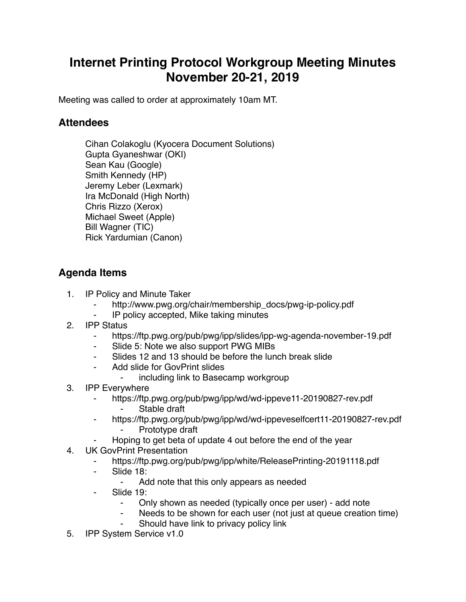## **Internet Printing Protocol Workgroup Meeting Minutes November 20-21, 2019**

Meeting was called to order at approximately 10am MT.

## **Attendees**

Cihan Colakoglu (Kyocera Document Solutions) Gupta Gyaneshwar (OKI) Sean Kau (Google) Smith Kennedy (HP) Jeremy Leber (Lexmark) Ira McDonald (High North) Chris Rizzo (Xerox) Michael Sweet (Apple) Bill Wagner (TIC) Rick Yardumian (Canon)

## **Agenda Items**

- 1. IP Policy and Minute Taker
	- http://www.pwg.org/chair/membership\_docs/pwg-ip-policy.pdf
	- ⁃ IP policy accepted, Mike taking minutes
- 2. IPP Status
	- ⁃ https://ftp.pwg.org/pub/pwg/ipp/slides/ipp-wg-agenda-november-19.pdf
	- ⁃ Slide 5: Note we also support PWG MIBs
	- ⁃ Slides 12 and 13 should be before the lunch break slide
	- Add slide for GovPrint slides
		- including link to Basecamp workgroup
- 3. IPP Everywhere
	- ⁃ https://ftp.pwg.org/pub/pwg/ipp/wd/wd-ippeve11-20190827-rev.pdf
		- Stable draft
	- ⁃ https://ftp.pwg.org/pub/pwg/ipp/wd/wd-ippeveselfcert11-20190827-rev.pdf Prototype draft
		- Hoping to get beta of update 4 out before the end of the year
- 4. UK GovPrint Presentation
	- https://ftp.pwg.org/pub/pwg/ipp/white/ReleasePrinting-20191118.pdf
	- ⁃ Slide 18:
		- ⁃ Add note that this only appears as needed
	- Slide 19:
		- ⁃ Only shown as needed (typically once per user) add note
		- Needs to be shown for each user (not just at queue creation time)
		- Should have link to privacy policy link
- 5. IPP System Service v1.0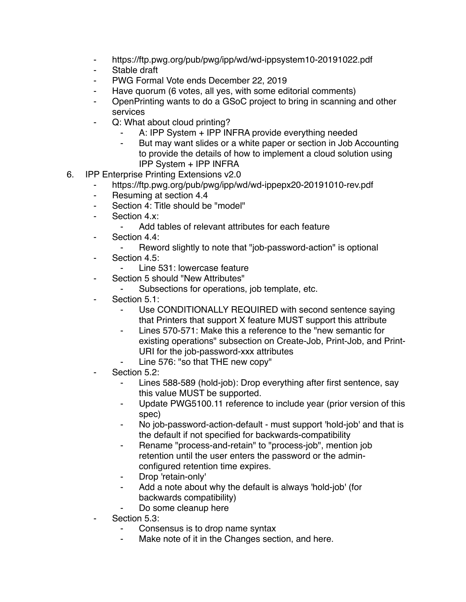- ⁃ https://ftp.pwg.org/pub/pwg/ipp/wd/wd-ippsystem10-20191022.pdf
- ⁃ Stable draft
- PWG Formal Vote ends December 22, 2019
- ⁃ Have quorum (6 votes, all yes, with some editorial comments)
- ⁃ OpenPrinting wants to do a GSoC project to bring in scanning and other services
- Q: What about cloud printing?
	- A: IPP System + IPP INFRA provide everything needed
	- But may want slides or a white paper or section in Job Accounting to provide the details of how to implement a cloud solution using IPP System + IPP INFRA
- 6. IPP Enterprise Printing Extensions v2.0
	- https://ftp.pwg.org/pub/pwg/ipp/wd/wd-ippepx20-20191010-rev.pdf
	- ⁃ Resuming at section 4.4
	- ⁃ Section 4: Title should be "model"
	- Section 4.x:
		- ⁃ Add tables of relevant attributes for each feature
	- ⁃ Section 4.4:
		- ⁃ Reword slightly to note that "job-password-action" is optional
	- ⁃ Section 4.5:
		- Line 531: lowercase feature
	- Section 5 should "New Attributes"
		- ⁃ Subsections for operations, job template, etc.
	- Section 5.1:
		- Use CONDITIONALLY REQUIRED with second sentence saying that Printers that support X feature MUST support this attribute
		- ⁃ Lines 570-571: Make this a reference to the "new semantic for existing operations" subsection on Create-Job, Print-Job, and Print-URI for the job-password-xxx attributes
		- Line 576: "so that THE new copy"
	- Section 5.2:
		- ⁃ Lines 588-589 (hold-job): Drop everything after first sentence, say this value MUST be supported.
		- ⁃ Update PWG5100.11 reference to include year (prior version of this spec)
		- No job-password-action-default must support 'hold-job' and that is the default if not specified for backwards-compatibility
		- Rename "process-and-retain" to "process-job", mention job retention until the user enters the password or the adminconfigured retention time expires.
		- Drop 'retain-only'
		- ⁃ Add a note about why the default is always 'hold-job' (for backwards compatibility)
		- Do some cleanup here
	- Section 5.3:
		- Consensus is to drop name syntax
		- ⁃ Make note of it in the Changes section, and here.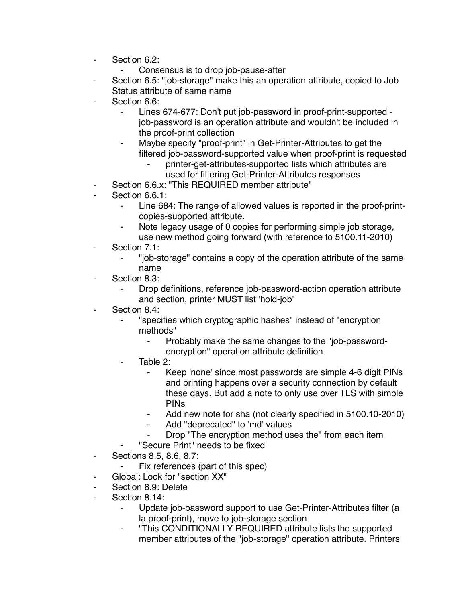- ⁃ Section 6.2:
	- ⁃ Consensus is to drop job-pause-after
- Section 6.5: "job-storage" make this an operation attribute, copied to Job Status attribute of same name
- Section 6.6:
	- Lines 674-677: Don't put job-password in proof-print-supported job-password is an operation attribute and wouldn't be included in the proof-print collection
	- Maybe specify "proof-print" in Get-Printer-Attributes to get the filtered job-password-supported value when proof-print is requested
		- printer-get-attributes-supported lists which attributes are used for filtering Get-Printer-Attributes responses
- Section 6.6.x: "This REQUIRED member attribute"
- Section 6.6.1:
	- Line 684: The range of allowed values is reported in the proof-printcopies-supported attribute.
	- Note legacy usage of 0 copies for performing simple job storage, use new method going forward (with reference to 5100.11-2010)
- Section 7.1:
	- ⁃ "job-storage" contains a copy of the operation attribute of the same name
- Section 8.3:
	- Drop definitions, reference job-password-action operation attribute and section, printer MUST list 'hold-job'
- Section 8.4:
	- ⁃ "specifies which cryptographic hashes" instead of "encryption methods"
		- ⁃ Probably make the same changes to the "job-passwordencryption" operation attribute definition
	- Table  $2^{\cdot}$ 
		- ⁃ Keep 'none' since most passwords are simple 4-6 digit PINs and printing happens over a security connection by default these days. But add a note to only use over TLS with simple PINs
		- Add new note for sha (not clearly specified in 5100.10-2010)
		- Add "deprecated" to 'md' values
		- Drop "The encryption method uses the" from each item
	- ⁃ "Secure Print" needs to be fixed
- ⁃ Sections 8.5, 8.6, 8.7:
	- Fix references (part of this spec)
- Global: Look for "section XX"
- ⁃ Section 8.9: Delete
- Section 8.14:
	- ⁃ Update job-password support to use Get-Printer-Attributes filter (a la proof-print), move to job-storage section
	- ⁃ "This CONDITIONALLY REQUIRED attribute lists the supported member attributes of the "job-storage" operation attribute. Printers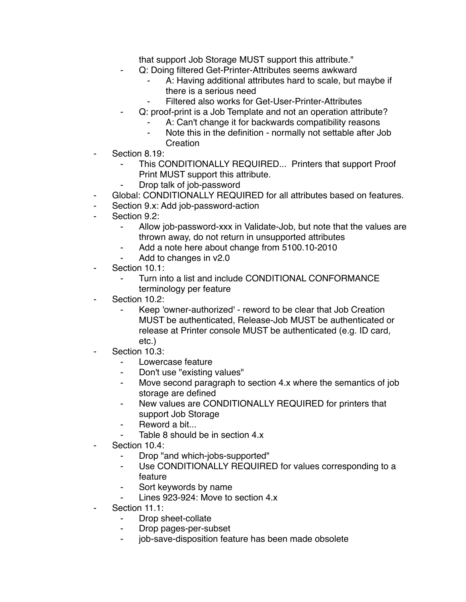that support Job Storage MUST support this attribute."

- Q: Doing filtered Get-Printer-Attributes seems awkward
	- A: Having additional attributes hard to scale, but maybe if there is a serious need
	- ⁃ Filtered also works for Get-User-Printer-Attributes
- Q: proof-print is a Job Template and not an operation attribute?
	- A: Can't change it for backwards compatibility reasons
	- Note this in the definition normally not settable after Job Creation
- Section 8.19:
	- This CONDITIONALLY REQUIRED... Printers that support Proof Print MUST support this attribute.
	- Drop talk of job-password
- Global: CONDITIONALLY REQUIRED for all attributes based on features.
- ⁃ Section 9.x: Add job-password-action
- Section 9.2:
	- ⁃ Allow job-password-xxx in Validate-Job, but note that the values are thrown away, do not return in unsupported attributes
	- Add a note here about change from 5100.10-2010
	- Add to changes in v2.0
- Section 10.1:
	- Turn into a list and include CONDITIONAL CONFORMANCE terminology per feature
- Section 10.2:
	- Keep 'owner-authorized' reword to be clear that Job Creation MUST be authenticated, Release-Job MUST be authenticated or release at Printer console MUST be authenticated (e.g. ID card, etc.)
- Section 10.3:
	- Lowercase feature
	- ⁃ Don't use "existing values"
	- ⁃ Move second paragraph to section 4.x where the semantics of job storage are defined
	- ⁃ New values are CONDITIONALLY REQUIRED for printers that support Job Storage
	- Reword a bit...
	- Table 8 should be in section 4.x
- Section 10.4:
	- ⁃ Drop "and which-jobs-supported"
	- Use CONDITIONALLY REQUIRED for values corresponding to a feature
	- ⁃ Sort keywords by name
	- Lines 923-924: Move to section 4.x
- Section 11.1:
	- ⁃ Drop sheet-collate
	- ⁃ Drop pages-per-subset
	- ⁃ job-save-disposition feature has been made obsolete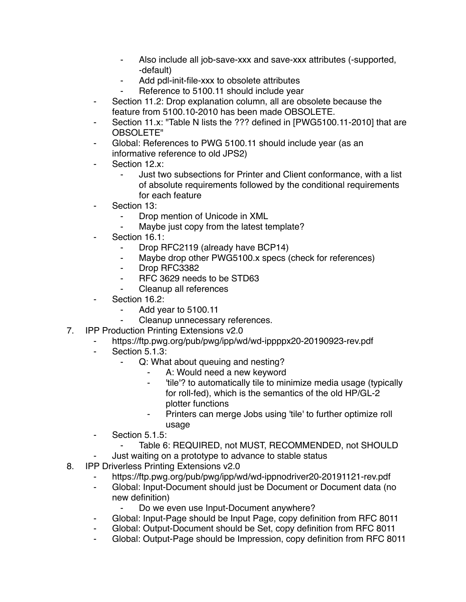- Also include all job-save-xxx and save-xxx attributes (-supported, -default)
- Add pdl-init-file-xxx to obsolete attributes
- Reference to 5100.11 should include year
- ⁃ Section 11.2: Drop explanation column, all are obsolete because the feature from 5100.10-2010 has been made OBSOLETE.
- Section 11.x: "Table N lists the ??? defined in [PWG5100.11-2010] that are OBSOLETE"
- Global: References to PWG 5100.11 should include year (as an informative reference to old JPS2)
- Section 12.x:
	- ⁃ Just two subsections for Printer and Client conformance, with a list of absolute requirements followed by the conditional requirements for each feature
- ⁃ Section 13:
	- Drop mention of Unicode in XML
	- ⁃ Maybe just copy from the latest template?
- Section 16.1:
	- Drop RFC2119 (already have BCP14)
	- ⁃ Maybe drop other PWG5100.x specs (check for references)
	- ⁃ Drop RFC3382
	- ⁃ RFC 3629 needs to be STD63
	- Cleanup all references
- Section 16.2:
	- ⁃ Add year to 5100.11
	- Cleanup unnecessary references.
- 7. IPP Production Printing Extensions v2.0
	- ⁃ https://ftp.pwg.org/pub/pwg/ipp/wd/wd-ippppx20-20190923-rev.pdf
	- Section 5.1.3:
		- Q: What about queuing and nesting?
			- A: Would need a new keyword
			- ⁃ 'tile'? to automatically tile to minimize media usage (typically for roll-fed), which is the semantics of the old HP/GL-2 plotter functions
			- Printers can merge Jobs using 'tile' to further optimize roll usage
	- ⁃ Section 5.1.5:
		- ⁃ Table 6: REQUIRED, not MUST, RECOMMENDED, not SHOULD
	- Just waiting on a prototype to advance to stable status
- 8. IPP Driverless Printing Extensions v2.0
	- https://ftp.pwg.org/pub/pwg/ipp/wd/wd-ippnodriver20-20191121-rev.pdf
	- ⁃ Global: Input-Document should just be Document or Document data (no new definition)
		- ⁃ Do we even use Input-Document anywhere?
	- ⁃ Global: Input-Page should be Input Page, copy definition from RFC 8011
	- Global: Output-Document should be Set, copy definition from RFC 8011
	- ⁃ Global: Output-Page should be Impression, copy definition from RFC 8011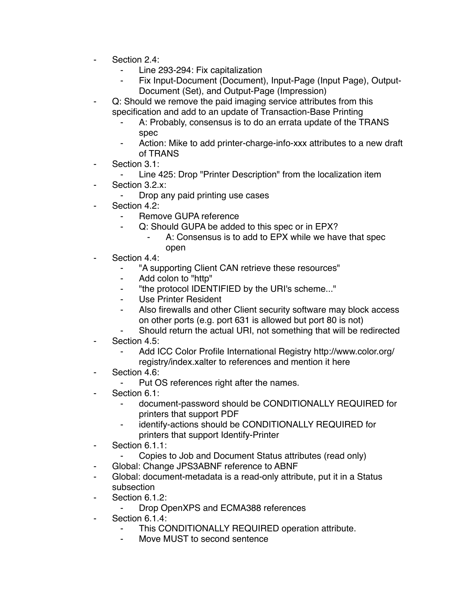- Section 2.4:
	- Line 293-294: Fix capitalization
	- Fix Input-Document (Document), Input-Page (Input Page), Output-Document (Set), and Output-Page (Impression)
- Q: Should we remove the paid imaging service attributes from this specification and add to an update of Transaction-Base Printing
	- A: Probably, consensus is to do an errata update of the TRANS spec
	- Action: Mike to add printer-charge-info-xxx attributes to a new draft of TRANS
- Section 3.1:
	- ⁃ Line 425: Drop "Printer Description" from the localization item
- Section 3.2.x:
	- ⁃ Drop any paid printing use cases
- ⁃ Section 4.2:
	- Remove GUPA reference
	- Q: Should GUPA be added to this spec or in EPX?
		- A: Consensus is to add to EPX while we have that spec open
- Section 4.4:
	- ⁃ "A supporting Client CAN retrieve these resources"
	- ⁃ Add colon to "http"
	- ⁃ "the protocol IDENTIFIED by the URI's scheme..."
	- ⁃ Use Printer Resident
	- Also firewalls and other Client security software may block access on other ports (e.g. port 631 is allowed but port 80 is not)
	- Should return the actual URI, not something that will be redirected
- Section 4.5:
	- Add ICC Color Profile International Registry http://www.color.org/ registry/index.xalter to references and mention it here
- Section 4.6:
	- ⁃ Put OS references right after the names.
- Section 6.1:
	- ⁃ document-password should be CONDITIONALLY REQUIRED for printers that support PDF
	- identify-actions should be CONDITIONALLY REQUIRED for printers that support Identify-Printer
- ⁃ Section 6.1.1:
	- ⁃ Copies to Job and Document Status attributes (read only)
- ⁃ Global: Change JPS3ABNF reference to ABNF
- ⁃ Global: document-metadata is a read-only attribute, put it in a Status subsection
- Section 6.1.2:
	- ⁃ Drop OpenXPS and ECMA388 references
- ⁃ Section 6.1.4:
	- This CONDITIONALLY REQUIRED operation attribute.
	- Move MUST to second sentence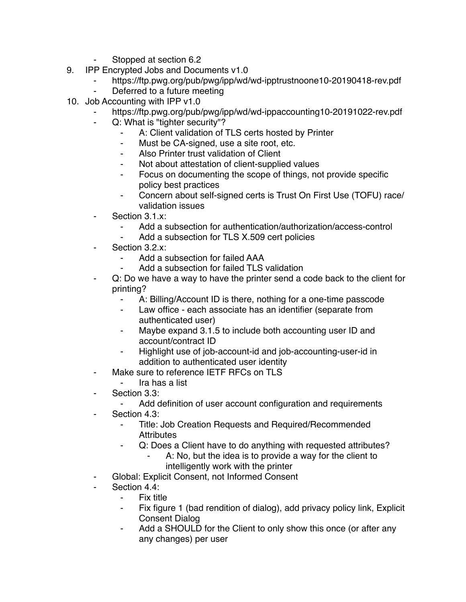- Stopped at section 6.2
- 9. IPP Encrypted Jobs and Documents v1.0
	- ⁃ https://ftp.pwg.org/pub/pwg/ipp/wd/wd-ipptrustnoone10-20190418-rev.pdf
	- Deferred to a future meeting
- 10. Job Accounting with IPP v1.0
	- ⁃ https://ftp.pwg.org/pub/pwg/ipp/wd/wd-ippaccounting10-20191022-rev.pdf
	- ⁃ Q: What is "tighter security"?
		- A: Client validation of TLS certs hosted by Printer
		- ⁃ Must be CA-signed, use a site root, etc.
		- ⁃ Also Printer trust validation of Client
		- Not about attestation of client-supplied values
		- ⁃ Focus on documenting the scope of things, not provide specific policy best practices
		- ⁃ Concern about self-signed certs is Trust On First Use (TOFU) race/ validation issues
	- Section 3.1.x:
		- ⁃ Add a subsection for authentication/authorization/access-control
		- Add a subsection for TLS X.509 cert policies
	- Section 3.2.x:
		- Add a subsection for failed AAA
		- Add a subsection for failed TLS validation
	- ⁃ Q: Do we have a way to have the printer send a code back to the client for printing?
		- ⁃ A: Billing/Account ID is there, nothing for a one-time passcode
		- ⁃ Law office each associate has an identifier (separate from authenticated user)
		- ⁃ Maybe expand 3.1.5 to include both accounting user ID and account/contract ID
		- Highlight use of job-account-id and job-accounting-user-id in addition to authenticated user identity
	- ⁃ Make sure to reference IETF RFCs on TLS
		- ⁃ Ira has a list
	- Section 3.3:
		- ⁃ Add definition of user account configuration and requirements
	- Section 4.3:
		- Title: Job Creation Requests and Required/Recommended **Attributes**
		- Q: Does a Client have to do anything with requested attributes?
			- A: No, but the idea is to provide a way for the client to intelligently work with the printer
	- Global: Explicit Consent, not Informed Consent
	- Section 4.4:
		- Fix title
		- ⁃ Fix figure 1 (bad rendition of dialog), add privacy policy link, Explicit Consent Dialog
		- Add a SHOULD for the Client to only show this once (or after any any changes) per user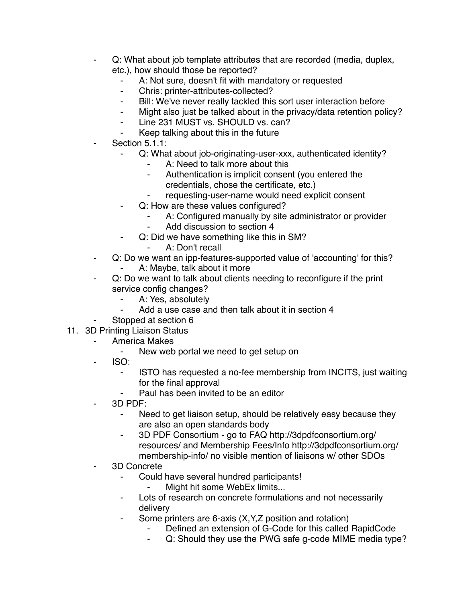- Q: What about job template attributes that are recorded (media, duplex, etc.), how should those be reported?
	- A: Not sure, doesn't fit with mandatory or requested
	- ⁃ Chris: printer-attributes-collected?
	- ⁃ Bill: We've never really tackled this sort user interaction before
	- ⁃ Might also just be talked about in the privacy/data retention policy?
	- ⁃ Line 231 MUST vs. SHOULD vs. can?
	- Keep talking about this in the future
- Section 5.1.1:
	- Q: What about job-originating-user-xxx, authenticated identity?
		- A: Need to talk more about this
		- ⁃ Authentication is implicit consent (you entered the credentials, chose the certificate, etc.)
		- requesting-user-name would need explicit consent
	- ⁃ Q: How are these values configured?
		- A: Configured manually by site administrator or provider
		- Add discussion to section 4
		- Q: Did we have something like this in SM?
			- ⁃ A: Don't recall
- ⁃ Q: Do we want an ipp-features-supported value of 'accounting' for this?
	- A: Maybe, talk about it more
- ⁃ Q: Do we want to talk about clients needing to reconfigure if the print service config changes?
	- ⁃ A: Yes, absolutely
	- ⁃ Add a use case and then talk about it in section 4
- Stopped at section 6
- 11. 3D Printing Liaison Status
	- America Makes
		- ⁃ New web portal we need to get setup on
		- $ISO:$ 
			- ISTO has requested a no-fee membership from INCITS, just waiting for the final approval
			- Paul has been invited to be an editor
	- $3D$  PDF:
		- ⁃ Need to get liaison setup, should be relatively easy because they are also an open standards body
		- ⁃ 3D PDF Consortium go to FAQ http://3dpdfconsortium.org/ resources/ and Membership Fees/Info http://3dpdfconsortium.org/ membership-info/ no visible mention of liaisons w/ other SDOs
	- ⁃ 3D Concrete
		- Could have several hundred participants!
			- ⁃ Might hit some WebEx limits...
		- Lots of research on concrete formulations and not necessarily delivery
		- ⁃ Some printers are 6-axis (X,Y,Z position and rotation)
			- Defined an extension of G-Code for this called RapidCode
			- ⁃ Q: Should they use the PWG safe g-code MIME media type?